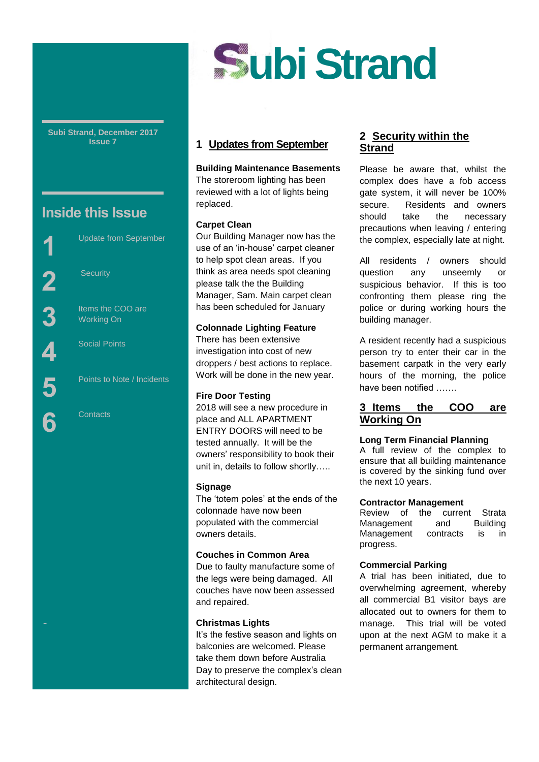

**Subi Strand, December 2017 Issue 7**

# **Inside this Issue**

**Security** 

Update from September

Items the COO are Working On

Points to Note / Incidents

Social Points

**Contacts** 

City,

# **1 Updates from September**

#### **Building Maintenance Basements**

The storeroom lighting has been reviewed with a lot of lights being replaced.

#### **Carpet Clean**

Our Building Manager now has the use of an 'in-house' carpet cleaner to help spot clean areas. If you think as area needs spot cleaning please talk the the Building Manager, Sam. Main carpet clean has been scheduled for January

#### **Colonnade Lighting Feature**

There has been extensive investigation into cost of new droppers / best actions to replace. Work will be done in the new year.

#### **Fire Door Testing**

2018 will see a new procedure in place and ALL APARTMENT ENTRY DOORS will need to be tested annually. It will be the owners' responsibility to book their unit in, details to follow shortly…..

## **Signage**

The 'totem poles' at the ends of the colonnade have now been populated with the commercial owners details.

## **Couches in Common Area**

Due to faulty manufacture some of the legs were being damaged. All couches have now been assessed and repaired.

## **Christmas Lights**

It's the festive season and lights on balconies are welcomed. Please take them down before Australia Day to preserve the complex's clean architectural design.

## **2 Security within the Strand**

Please be aware that, whilst the complex does have a fob access gate system, it will never be 100% secure. Residents and owners should take the necessary precautions when leaving / entering the complex, especially late at night.

All residents / owners should question any unseemly or suspicious behavior. If this is too confronting them please ring the police or during working hours the building manager.

A resident recently had a suspicious person try to enter their car in the basement carpatk in the very early hours of the morning, the police have been notified …….

## **3 Items the COO are Working On**

#### **Long Term Financial Planning**

A full review of the complex to ensure that all building maintenance is covered by the sinking fund over the next 10 years.

#### **Contractor Management**

Review of the current Strata Management and Building Management contracts is in progress.

## **Commercial Parking**

A trial has been initiated, due to overwhelming agreement, whereby all commercial B1 visitor bays are allocated out to owners for them to manage. This trial will be voted upon at the next AGM to make it a permanent arrangement.